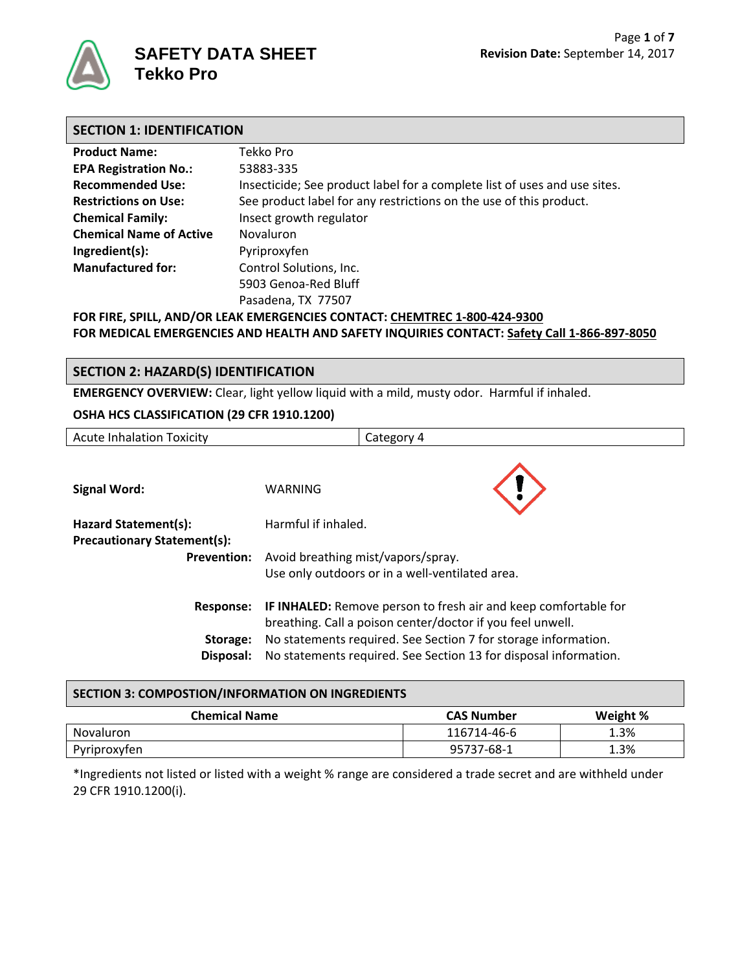

| <b>SECTION 1: IDENTIFICATION</b> |  |
|----------------------------------|--|
|                                  |  |

| <b>Product Name:</b>           | Tekko Pro                                                                 |
|--------------------------------|---------------------------------------------------------------------------|
| <b>EPA Registration No.:</b>   | 53883-335                                                                 |
| <b>Recommended Use:</b>        | Insecticide; See product label for a complete list of uses and use sites. |
| <b>Restrictions on Use:</b>    | See product label for any restrictions on the use of this product.        |
| <b>Chemical Family:</b>        | Insect growth regulator                                                   |
| <b>Chemical Name of Active</b> | <b>Novaluron</b>                                                          |
| Ingredient(s):                 | Pyriproxyfen                                                              |
| <b>Manufactured for:</b>       | Control Solutions, Inc.                                                   |
|                                | 5903 Genoa-Red Bluff                                                      |
|                                | Pasadena, TX 77507                                                        |
|                                | FOR FIRE, SPILL, AND/OR LEAK EMERGENCIES CONTACT: CHEMTREC 1-800-424-9300 |

**FOR MEDICAL EMERGENCIES AND HEALTH AND SAFETY INQUIRIES CONTACT: Safety Call 1-866-897-8050**

# **SECTION 2: HAZARD(S) IDENTIFICATION**

**EMERGENCY OVERVIEW:** Clear, light yellow liquid with a mild, musty odor. Harmful if inhaled.

#### **OSHA HCS CLASSIFICATION (29 CFR 1910.1200)**

| <b>Acute Inhalation Toxicity</b>                           |                                                                                                                                      | Category 4                                                                            |                                                                  |
|------------------------------------------------------------|--------------------------------------------------------------------------------------------------------------------------------------|---------------------------------------------------------------------------------------|------------------------------------------------------------------|
| <b>Signal Word:</b>                                        | WARNING                                                                                                                              |                                                                                       |                                                                  |
| Hazard Statement(s):<br><b>Precautionary Statement(s):</b> | Harmful if inhaled.                                                                                                                  |                                                                                       |                                                                  |
| <b>Prevention:</b>                                         |                                                                                                                                      | Avoid breathing mist/vapors/spray.<br>Use only outdoors or in a well-ventilated area. |                                                                  |
| Response:                                                  | <b>IF INHALED:</b> Remove person to fresh air and keep comfortable for<br>breathing. Call a poison center/doctor if you feel unwell. |                                                                                       |                                                                  |
| Storage:<br>Disposal:                                      |                                                                                                                                      | No statements required. See Section 7 for storage information.                        | No statements required. See Section 13 for disposal information. |

# **SECTION 3: COMPOSTION/INFORMATION ON INGREDIENTS Chemical Name CAS Number Weight %** Novaluron 1.3% and 116714-46-6 1.3% Pyriproxyfen 1.3% and 1.3%

\*Ingredients not listed or listed with a weight % range are considered a trade secret and are withheld under 29 CFR 1910.1200(i).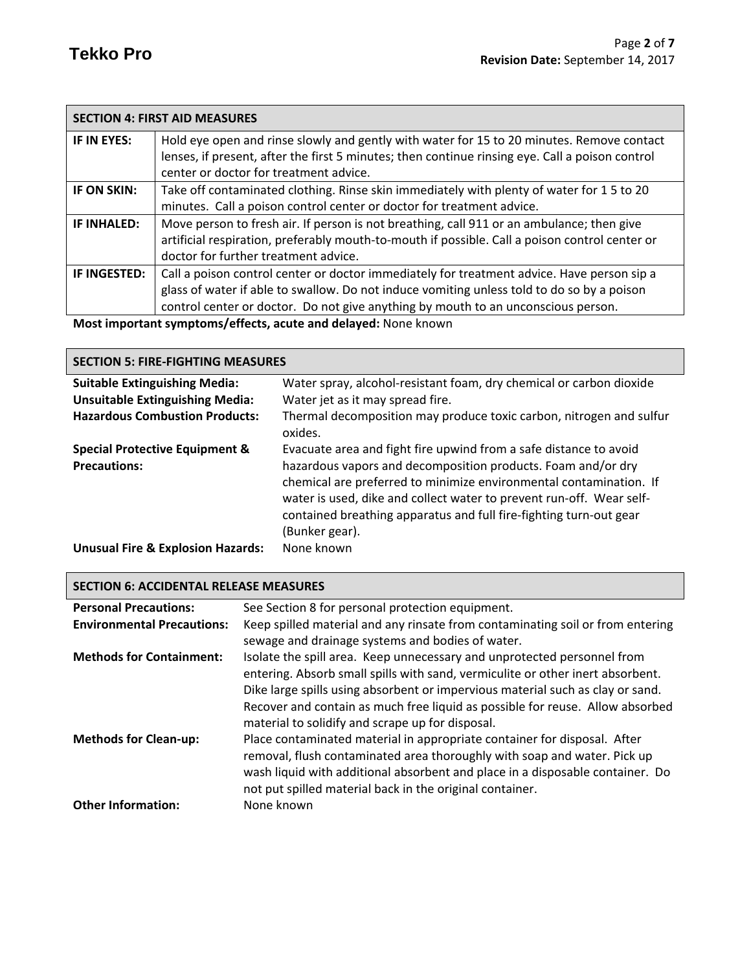|              | <b>SECTION 4: FIRST AID MEASURES</b>                                                            |
|--------------|-------------------------------------------------------------------------------------------------|
| IF IN EYES:  | Hold eye open and rinse slowly and gently with water for 15 to 20 minutes. Remove contact       |
|              | lenses, if present, after the first 5 minutes; then continue rinsing eye. Call a poison control |
|              | center or doctor for treatment advice.                                                          |
| IF ON SKIN:  | Take off contaminated clothing. Rinse skin immediately with plenty of water for 15 to 20        |
|              | minutes. Call a poison control center or doctor for treatment advice.                           |
| IF INHALED:  | Move person to fresh air. If person is not breathing, call 911 or an ambulance; then give       |
|              | artificial respiration, preferably mouth-to-mouth if possible. Call a poison control center or  |
|              | doctor for further treatment advice.                                                            |
| IF INGESTED: | Call a poison control center or doctor immediately for treatment advice. Have person sip a      |
|              | glass of water if able to swallow. Do not induce vomiting unless told to do so by a poison      |
|              | control center or doctor. Do not give anything by mouth to an unconscious person.               |
|              | Adam bunantan pengatang laffanta pentapad dalam dalam Adam Indon                                |

**Most important symptoms/effects, acute and delayed:** None known

| <b>SECTION 5: FIRE-FIGHTING MEASURES</b>                         |                                                                                                                                                                                                                                                                                                                                                                         |  |
|------------------------------------------------------------------|-------------------------------------------------------------------------------------------------------------------------------------------------------------------------------------------------------------------------------------------------------------------------------------------------------------------------------------------------------------------------|--|
| <b>Suitable Extinguishing Media:</b>                             | Water spray, alcohol-resistant foam, dry chemical or carbon dioxide                                                                                                                                                                                                                                                                                                     |  |
| <b>Unsuitable Extinguishing Media:</b>                           | Water jet as it may spread fire.                                                                                                                                                                                                                                                                                                                                        |  |
| <b>Hazardous Combustion Products:</b>                            | Thermal decomposition may produce toxic carbon, nitrogen and sulfur<br>oxides.                                                                                                                                                                                                                                                                                          |  |
| <b>Special Protective Equipment &amp;</b><br><b>Precautions:</b> | Evacuate area and fight fire upwind from a safe distance to avoid<br>hazardous vapors and decomposition products. Foam and/or dry<br>chemical are preferred to minimize environmental contamination. If<br>water is used, dike and collect water to prevent run-off. Wear self-<br>contained breathing apparatus and full fire-fighting turn-out gear<br>(Bunker gear). |  |
| <b>Unusual Fire &amp; Explosion Hazards:</b>                     | None known                                                                                                                                                                                                                                                                                                                                                              |  |

| <b>SECTION 6: ACCIDENTAL RELEASE MEASURES</b> |                                                                                                                                                                                                                                                                                                                                                                                  |
|-----------------------------------------------|----------------------------------------------------------------------------------------------------------------------------------------------------------------------------------------------------------------------------------------------------------------------------------------------------------------------------------------------------------------------------------|
| <b>Personal Precautions:</b>                  | See Section 8 for personal protection equipment.                                                                                                                                                                                                                                                                                                                                 |
| <b>Environmental Precautions:</b>             | Keep spilled material and any rinsate from contaminating soil or from entering<br>sewage and drainage systems and bodies of water.                                                                                                                                                                                                                                               |
| <b>Methods for Containment:</b>               | Isolate the spill area. Keep unnecessary and unprotected personnel from<br>entering. Absorb small spills with sand, vermiculite or other inert absorbent.<br>Dike large spills using absorbent or impervious material such as clay or sand.<br>Recover and contain as much free liquid as possible for reuse. Allow absorbed<br>material to solidify and scrape up for disposal. |
| <b>Methods for Clean-up:</b>                  | Place contaminated material in appropriate container for disposal. After<br>removal, flush contaminated area thoroughly with soap and water. Pick up<br>wash liquid with additional absorbent and place in a disposable container. Do<br>not put spilled material back in the original container.                                                                                |
| <b>Other Information:</b>                     | None known                                                                                                                                                                                                                                                                                                                                                                       |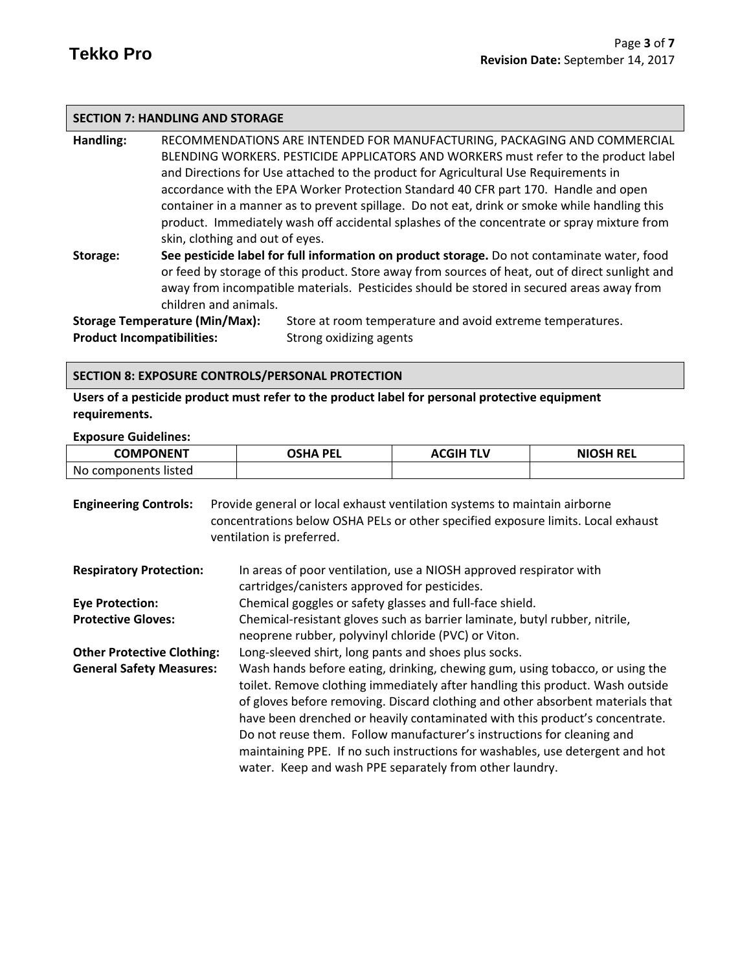## **SECTION 7: HANDLING AND STORAGE**

**Handling:** RECOMMENDATIONS ARE INTENDED FOR MANUFACTURING, PACKAGING AND COMMERCIAL BLENDING WORKERS. PESTICIDE APPLICATORS AND WORKERS must refer to the product label and Directions for Use attached to the product for Agricultural Use Requirements in accordance with the EPA Worker Protection Standard 40 CFR part 170.Handle and open container in a manner as to prevent spillage. Do not eat, drink or smoke while handling this product. Immediately wash off accidental splashes of the concentrate or spray mixture from skin, clothing and out of eyes.

**Storage: See pesticide label for full information on product storage.** Do not contaminate water, food or feed by storage of this product. Store away from sources of heat, out of direct sunlight and away from incompatible materials. Pesticides should be stored in secured areas away from children and animals.

**Product Incompatibilities:** Strong oxidizing agents

**Storage Temperature (Min/Max):** Store at room temperature and avoid extreme temperatures.

### **SECTION 8: EXPOSURE CONTROLS/PERSONAL PROTECTION**

**Users of a pesticide product must refer to the product label for personal protective equipment requirements.**

**Exposure Guidelines:**

| COMPONENT            | מµ>ר<br><b>PEL</b> | <b>ACGIH</b><br><b>TLV</b> | <b>NIOSH REL</b> |
|----------------------|--------------------|----------------------------|------------------|
| No components listed |                    |                            |                  |

| <b>Engineering Controls:</b>      | Provide general or local exhaust ventilation systems to maintain airborne<br>concentrations below OSHA PELs or other specified exposure limits. Local exhaust<br>ventilation is preferred.                                                                                                                                                                                                                                                                                                                                                           |
|-----------------------------------|------------------------------------------------------------------------------------------------------------------------------------------------------------------------------------------------------------------------------------------------------------------------------------------------------------------------------------------------------------------------------------------------------------------------------------------------------------------------------------------------------------------------------------------------------|
| <b>Respiratory Protection:</b>    | In areas of poor ventilation, use a NIOSH approved respirator with<br>cartridges/canisters approved for pesticides.                                                                                                                                                                                                                                                                                                                                                                                                                                  |
| <b>Eye Protection:</b>            | Chemical goggles or safety glasses and full-face shield.                                                                                                                                                                                                                                                                                                                                                                                                                                                                                             |
| <b>Protective Gloves:</b>         | Chemical-resistant gloves such as barrier laminate, butyl rubber, nitrile,<br>neoprene rubber, polyvinyl chloride (PVC) or Viton.                                                                                                                                                                                                                                                                                                                                                                                                                    |
| <b>Other Protective Clothing:</b> | Long-sleeved shirt, long pants and shoes plus socks.                                                                                                                                                                                                                                                                                                                                                                                                                                                                                                 |
| <b>General Safety Measures:</b>   | Wash hands before eating, drinking, chewing gum, using tobacco, or using the<br>toilet. Remove clothing immediately after handling this product. Wash outside<br>of gloves before removing. Discard clothing and other absorbent materials that<br>have been drenched or heavily contaminated with this product's concentrate.<br>Do not reuse them. Follow manufacturer's instructions for cleaning and<br>maintaining PPE. If no such instructions for washables, use detergent and hot<br>water. Keep and wash PPE separately from other laundry. |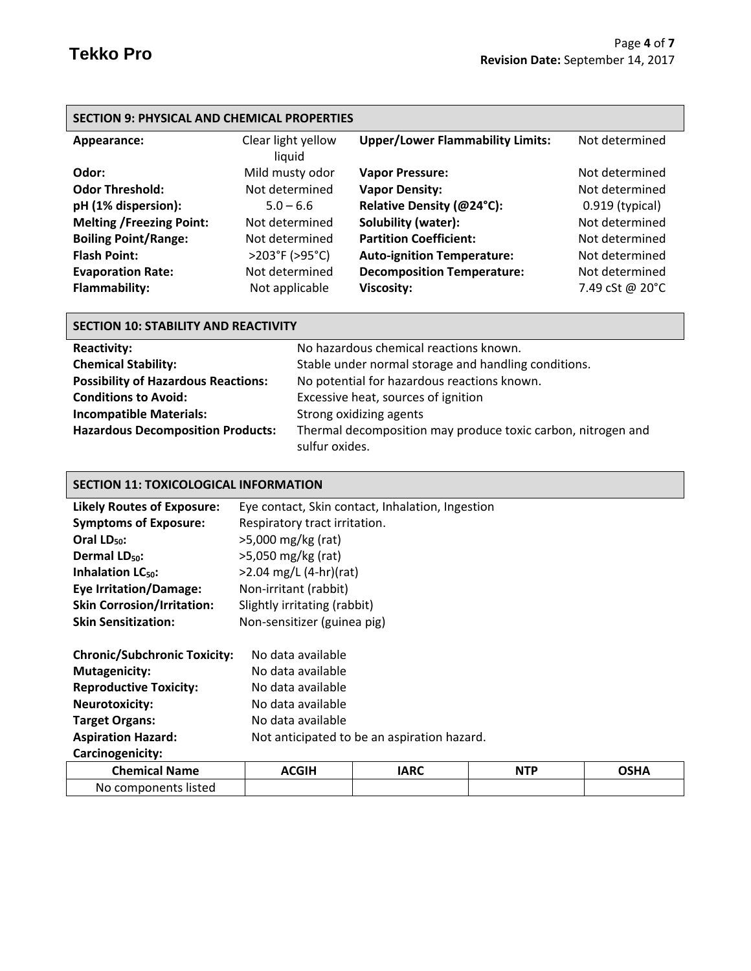| <b>SECTION 9: PHYSICAL AND CHEMICAL PROPERTIES</b> |                              |                                         |                   |
|----------------------------------------------------|------------------------------|-----------------------------------------|-------------------|
| Appearance:                                        | Clear light yellow<br>liquid | <b>Upper/Lower Flammability Limits:</b> | Not determined    |
| Odor:                                              | Mild musty odor              | <b>Vapor Pressure:</b>                  | Not determined    |
| <b>Odor Threshold:</b>                             | Not determined               | <b>Vapor Density:</b>                   | Not determined    |
| pH (1% dispersion):                                | $5.0 - 6.6$                  | Relative Density (@24°C):               | $0.919$ (typical) |
| <b>Melting /Freezing Point:</b>                    | Not determined               | Solubility (water):                     | Not determined    |
| <b>Boiling Point/Range:</b>                        | Not determined               | <b>Partition Coefficient:</b>           | Not determined    |
| <b>Flash Point:</b>                                | >203°F (>95°C)               | <b>Auto-ignition Temperature:</b>       | Not determined    |
| <b>Evaporation Rate:</b>                           | Not determined               | <b>Decomposition Temperature:</b>       | Not determined    |
| <b>Flammability:</b>                               | Not applicable               | <b>Viscosity:</b>                       | 7.49 cSt @ 20°C   |

| <b>SECTION 10: STABILITY AND REACTIVITY</b> |                                                                                |  |
|---------------------------------------------|--------------------------------------------------------------------------------|--|
| <b>Reactivity:</b>                          | No hazardous chemical reactions known.                                         |  |
| <b>Chemical Stability:</b>                  | Stable under normal storage and handling conditions.                           |  |
| <b>Possibility of Hazardous Reactions:</b>  | No potential for hazardous reactions known.                                    |  |
| <b>Conditions to Avoid:</b>                 | Excessive heat, sources of ignition                                            |  |
| <b>Incompatible Materials:</b>              | Strong oxidizing agents                                                        |  |
| <b>Hazardous Decomposition Products:</b>    | Thermal decomposition may produce toxic carbon, nitrogen and<br>sulfur oxides. |  |

# **SECTION 11: TOXICOLOGICAL INFORMATION**

| <b>Likely Routes of Exposure:</b>   | Eye contact, Skin contact, Inhalation, Ingestion |                                             |            |             |
|-------------------------------------|--------------------------------------------------|---------------------------------------------|------------|-------------|
| <b>Symptoms of Exposure:</b>        | Respiratory tract irritation.                    |                                             |            |             |
| Oral LD <sub>50</sub> :             | $>5,000$ mg/kg (rat)                             |                                             |            |             |
| Dermal LD <sub>50</sub> :           | >5,050 mg/kg (rat)                               |                                             |            |             |
| Inhalation $LC_{50}$ :              | $>2.04$ mg/L (4-hr)(rat)                         |                                             |            |             |
| <b>Eye Irritation/Damage:</b>       | Non-irritant (rabbit)                            |                                             |            |             |
| <b>Skin Corrosion/Irritation:</b>   | Slightly irritating (rabbit)                     |                                             |            |             |
| <b>Skin Sensitization:</b>          | Non-sensitizer (guinea pig)                      |                                             |            |             |
|                                     |                                                  |                                             |            |             |
| <b>Chronic/Subchronic Toxicity:</b> | No data available                                |                                             |            |             |
| <b>Mutagenicity:</b>                | No data available                                |                                             |            |             |
| <b>Reproductive Toxicity:</b>       | No data available                                |                                             |            |             |
| <b>Neurotoxicity:</b>               | No data available                                |                                             |            |             |
| <b>Target Organs:</b>               | No data available                                |                                             |            |             |
| <b>Aspiration Hazard:</b>           |                                                  | Not anticipated to be an aspiration hazard. |            |             |
| Carcinogenicity:                    |                                                  |                                             |            |             |
| <b>Chemical Name</b>                | <b>ACGIH</b>                                     | <b>IARC</b>                                 | <b>NTP</b> | <b>OSHA</b> |
| No components listed                |                                                  |                                             |            |             |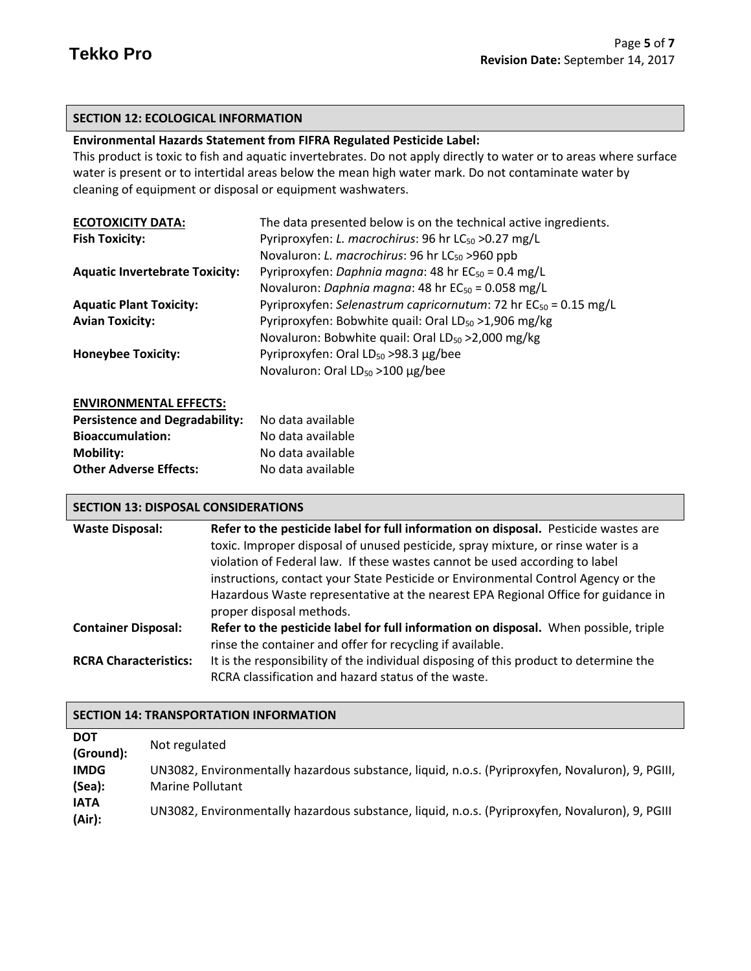# **SECTION 12: ECOLOGICAL INFORMATION**

# **Environmental Hazards Statement from FIFRA Regulated Pesticide Label:**

This product is toxic to fish and aquatic invertebrates. Do not apply directly to water or to areas where surface water is present or to intertidal areas below the mean high water mark. Do not contaminate water by cleaning of equipment or disposal or equipment washwaters.

| <b>ECOTOXICITY DATA:</b>              | The data presented below is on the technical active ingredients.     |
|---------------------------------------|----------------------------------------------------------------------|
| <b>Fish Toxicity:</b>                 | Pyriproxyfen: L. macrochirus: 96 hr LC <sub>50</sub> > 0.27 mg/L     |
|                                       | Novaluron: L. macrochirus: 96 hr LC <sub>50</sub> > 960 ppb          |
| <b>Aquatic Invertebrate Toxicity:</b> | Pyriproxyfen: Daphnia magna: 48 hr $EC_{50} = 0.4$ mg/L              |
|                                       | Novaluron: Daphnia magna: 48 hr $EC_{50} = 0.058$ mg/L               |
| <b>Aquatic Plant Toxicity:</b>        | Pyriproxyfen: Selenastrum capricornutum: 72 hr $EC_{50} = 0.15$ mg/L |
| <b>Avian Toxicity:</b>                | Pyriproxyfen: Bobwhite quail: Oral LD <sub>50</sub> >1,906 mg/kg     |
|                                       | Novaluron: Bobwhite quail: Oral LD <sub>50</sub> > 2,000 mg/kg       |
| <b>Honeybee Toxicity:</b>             | Pyriproxyfen: Oral LD <sub>50</sub> >98.3 µg/bee                     |
|                                       | Novaluron: Oral $LD_{50} > 100 \mu g/$ bee                           |
|                                       |                                                                      |

#### **ENVIRONMENTAL EFFECTS:**

| <b>Persistence and Degradability:</b> | No data available |
|---------------------------------------|-------------------|
| <b>Bioaccumulation:</b>               | No data available |
| Mobility:                             | No data available |
| <b>Other Adverse Effects:</b>         | No data available |

# **SECTION 13: DISPOSAL CONSIDERATIONS**

| <b>Waste Disposal:</b>       | Refer to the pesticide label for full information on disposal. Pesticide wastes are                           |
|------------------------------|---------------------------------------------------------------------------------------------------------------|
|                              | toxic. Improper disposal of unused pesticide, spray mixture, or rinse water is a                              |
|                              | violation of Federal law. If these wastes cannot be used according to label                                   |
|                              | instructions, contact your State Pesticide or Environmental Control Agency or the                             |
|                              | Hazardous Waste representative at the nearest EPA Regional Office for guidance in<br>proper disposal methods. |
| <b>Container Disposal:</b>   | Refer to the pesticide label for full information on disposal. When possible, triple                          |
|                              | rinse the container and offer for recycling if available.                                                     |
| <b>RCRA Characteristics:</b> | It is the responsibility of the individual disposing of this product to determine the                         |
|                              | RCRA classification and hazard status of the waste.                                                           |

# **SECTION 14: TRANSPORTATION INFORMATION**

| <b>DOT</b><br>(Ground): | Not regulated                                                                                                        |
|-------------------------|----------------------------------------------------------------------------------------------------------------------|
| <b>IMDG</b><br>(Sea):   | UN3082, Environmentally hazardous substance, liquid, n.o.s. (Pyriproxyfen, Novaluron), 9, PGIII,<br>Marine Pollutant |
| <b>IATA</b><br>(Air):   | UN3082, Environmentally hazardous substance, liquid, n.o.s. (Pyriproxyfen, Novaluron), 9, PGIII                      |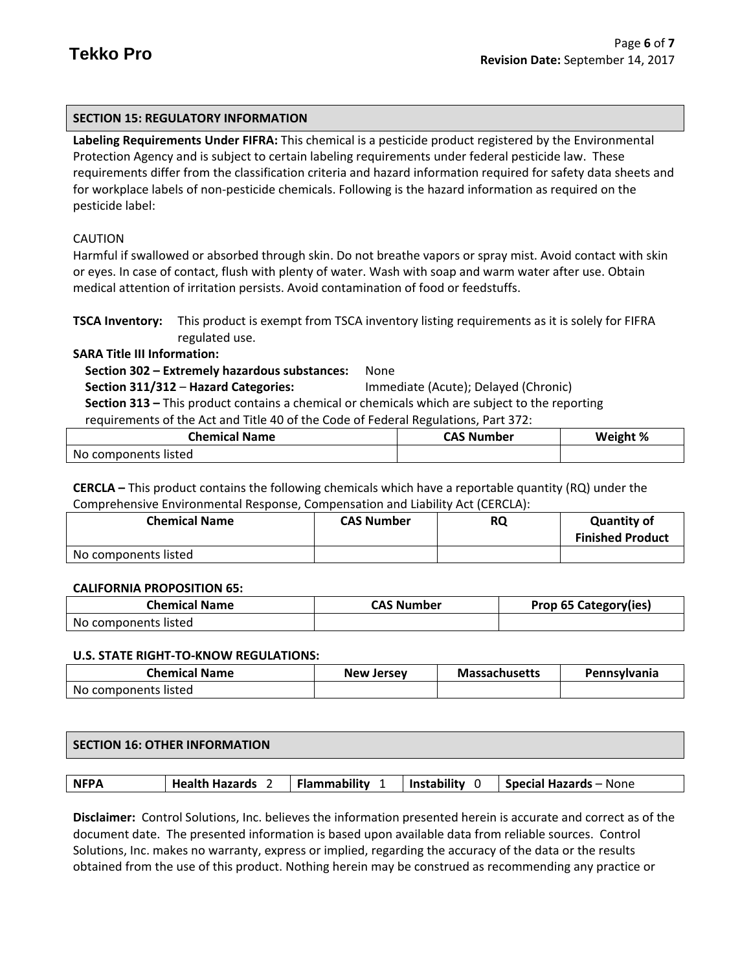# **SECTION 15: REGULATORY INFORMATION**

**Labeling Requirements Under FIFRA:** This chemical is a pesticide product registered by the Environmental Protection Agency and is subject to certain labeling requirements under federal pesticide law. These requirements differ from the classification criteria and hazard information required for safety data sheets and for workplace labels of non-pesticide chemicals. Following is the hazard information as required on the pesticide label:

# CAUTION

Harmful if swallowed or absorbed through skin. Do not breathe vapors or spray mist. Avoid contact with skin or eyes. In case of contact, flush with plenty of water. Wash with soap and warm water after use. Obtain medical attention of irritation persists. Avoid contamination of food or feedstuffs.

**TSCA Inventory:** This product is exempt from TSCA inventory listing requirements as it is solely for FIFRA regulated use.

**SARA Title III Information:**

 **Section 302 – Extremely hazardous substances:** None  **Section 311/312** – **Hazard Categories:** Immediate (Acute); Delayed (Chronic)  **Section 313 –** This product contains a chemical or chemicals which are subject to the reporting requirements of the Act and Title 40 of the Code of Federal Regulations, Part 372:

| Chemical Name        | <b>CAS Number</b> | Weight % |
|----------------------|-------------------|----------|
| No components listed |                   |          |

**CERCLA –** This product contains the following chemicals which have a reportable quantity (RQ) under the Comprehensive Environmental Response, Compensation and Liability Act (CERCLA):

| <b>Chemical Name</b> | <b>CAS Number</b> | <b>RQ</b> | <b>Quantity of</b><br><b>Finished Product</b> |
|----------------------|-------------------|-----------|-----------------------------------------------|
| No components listed |                   |           |                                               |

# **CALIFORNIA PROPOSITION 65:**

| <b>Chemical Name</b> | <b>CAS Number</b> | <b>Prop 65 Category(ies)</b> |
|----------------------|-------------------|------------------------------|
| No components listed |                   |                              |

#### **U.S. STATE RIGHT-TO-KNOW REGULATIONS:**

| <b>Chemical Name</b> | <b>New Jersey</b> | <b>Massachusetts</b> | <b>Pennsylvania</b> |
|----------------------|-------------------|----------------------|---------------------|
| No components listed |                   |                      |                     |

| <b>SECTION 16: OTHER INFORMATION</b> |  |
|--------------------------------------|--|
|                                      |  |

**NFPA Health Hazards** 2 **Flammability** 1 **Instability** 0 **Special Hazards** – None

**Disclaimer:** Control Solutions, Inc. believes the information presented herein is accurate and correct as of the document date. The presented information is based upon available data from reliable sources. Control Solutions, Inc. makes no warranty, express or implied, regarding the accuracy of the data or the results obtained from the use of this product. Nothing herein may be construed as recommending any practice or